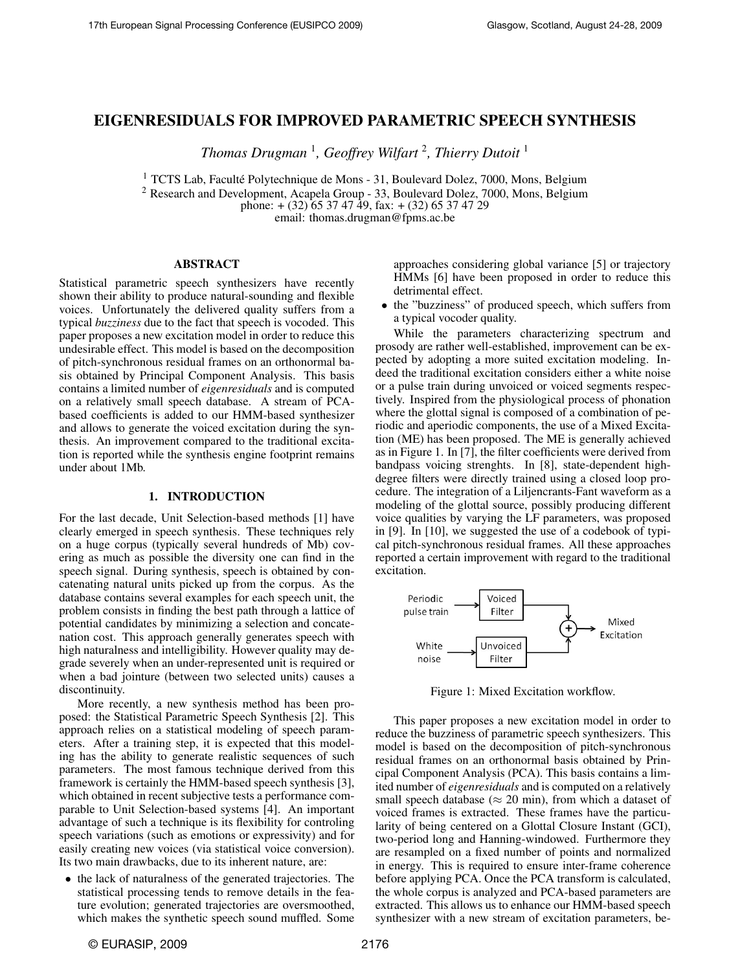# EIGENRESIDUALS FOR IMPROVED PARAMETRIC SPEECH SYNTHESIS

*Thomas Drugman* <sup>1</sup> *, Geoffrey Wilfart* <sup>2</sup> *, Thierry Dutoit* <sup>1</sup>

 $1$  TCTS Lab, Faculté Polytechnique de Mons - 31, Boulevard Dolez, 7000, Mons, Belgium

<sup>2</sup> Research and Development, Acapela Group - 33, Boulevard Dolez, 7000, Mons, Belgium

phone:  $+(32)$  65 37 47 49, fax:  $+(32)$  65 37 47 29

email: thomas.drugman@fpms.ac.be

### ABSTRACT

Statistical parametric speech synthesizers have recently shown their ability to produce natural-sounding and flexible voices. Unfortunately the delivered quality suffers from a typical *buzziness* due to the fact that speech is vocoded. This paper proposes a new excitation model in order to reduce this undesirable effect. This model is based on the decomposition of pitch-synchronous residual frames on an orthonormal basis obtained by Principal Component Analysis. This basis contains a limited number of *eigenresiduals* and is computed on a relatively small speech database. A stream of PCAbased coefficients is added to our HMM-based synthesizer and allows to generate the voiced excitation during the synthesis. An improvement compared to the traditional excitation is reported while the synthesis engine footprint remains under about 1Mb.

### 1. INTRODUCTION

For the last decade, Unit Selection-based methods [1] have clearly emerged in speech synthesis. These techniques rely on a huge corpus (typically several hundreds of Mb) covering as much as possible the diversity one can find in the speech signal. During synthesis, speech is obtained by concatenating natural units picked up from the corpus. As the database contains several examples for each speech unit, the problem consists in finding the best path through a lattice of potential candidates by minimizing a selection and concatenation cost. This approach generally generates speech with high naturalness and intelligibility. However quality may degrade severely when an under-represented unit is required or when a bad jointure (between two selected units) causes a discontinuity.

More recently, a new synthesis method has been proposed: the Statistical Parametric Speech Synthesis [2]. This approach relies on a statistical modeling of speech parameters. After a training step, it is expected that this modeling has the ability to generate realistic sequences of such parameters. The most famous technique derived from this framework is certainly the HMM-based speech synthesis [3], which obtained in recent subjective tests a performance comparable to Unit Selection-based systems [4]. An important advantage of such a technique is its flexibility for controling speech variations (such as emotions or expressivity) and for easily creating new voices (via statistical voice conversion). Its two main drawbacks, due to its inherent nature, are:

• the lack of naturalness of the generated trajectories. The statistical processing tends to remove details in the feature evolution; generated trajectories are oversmoothed, which makes the synthetic speech sound muffled. Some

approaches considering global variance [5] or trajectory HMMs [6] have been proposed in order to reduce this detrimental effect.

• the "buzziness" of produced speech, which suffers from a typical vocoder quality.

While the parameters characterizing spectrum and prosody are rather well-established, improvement can be expected by adopting a more suited excitation modeling. Indeed the traditional excitation considers either a white noise or a pulse train during unvoiced or voiced segments respectively. Inspired from the physiological process of phonation where the glottal signal is composed of a combination of periodic and aperiodic components, the use of a Mixed Excitation (ME) has been proposed. The ME is generally achieved as in Figure 1. In [7], the filter coefficients were derived from bandpass voicing strenghts. In [8], state-dependent highdegree filters were directly trained using a closed loop procedure. The integration of a Liljencrants-Fant waveform as a modeling of the glottal source, possibly producing different voice qualities by varying the LF parameters, was proposed in [9]. In [10], we suggested the use of a codebook of typical pitch-synchronous residual frames. All these approaches reported a certain improvement with regard to the traditional excitation.



Figure 1: Mixed Excitation workflow.

This paper proposes a new excitation model in order to reduce the buzziness of parametric speech synthesizers. This model is based on the decomposition of pitch-synchronous residual frames on an orthonormal basis obtained by Principal Component Analysis (PCA). This basis contains a limited number of *eigenresiduals* and is computed on a relatively small speech database ( $\approx$  20 min), from which a dataset of voiced frames is extracted. These frames have the particularity of being centered on a Glottal Closure Instant (GCI), two-period long and Hanning-windowed. Furthermore they are resampled on a fixed number of points and normalized in energy. This is required to ensure inter-frame coherence before applying PCA. Once the PCA transform is calculated, the whole corpus is analyzed and PCA-based parameters are extracted. This allows us to enhance our HMM-based speech synthesizer with a new stream of excitation parameters, be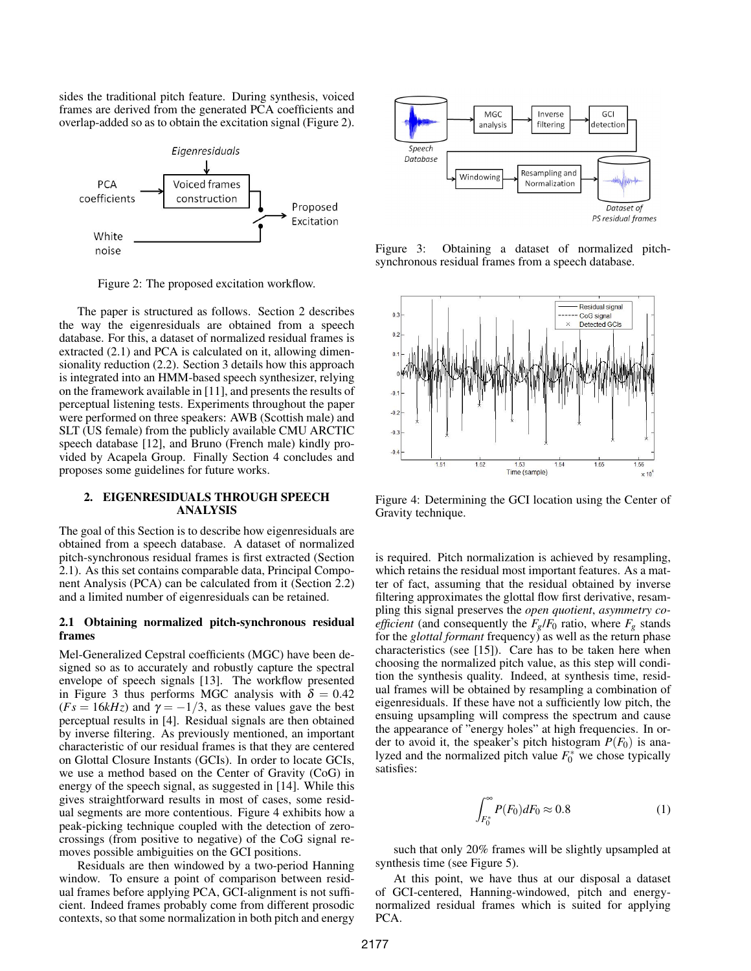sides the traditional pitch feature. During synthesis, voiced frames are derived from the generated PCA coefficients and overlap-added so as to obtain the excitation signal (Figure 2).



Figure 2: The proposed excitation workflow.

The paper is structured as follows. Section 2 describes the way the eigenresiduals are obtained from a speech database. For this, a dataset of normalized residual frames is extracted (2.1) and PCA is calculated on it, allowing dimensionality reduction (2.2). Section 3 details how this approach is integrated into an HMM-based speech synthesizer, relying on the framework available in [11], and presents the results of perceptual listening tests. Experiments throughout the paper were performed on three speakers: AWB (Scottish male) and SLT (US female) from the publicly available CMU ARCTIC speech database [12], and Bruno (French male) kindly provided by Acapela Group. Finally Section 4 concludes and proposes some guidelines for future works.

## 2. EIGENRESIDUALS THROUGH SPEECH ANALYSIS

The goal of this Section is to describe how eigenresiduals are obtained from a speech database. A dataset of normalized pitch-synchronous residual frames is first extracted (Section 2.1). As this set contains comparable data, Principal Component Analysis (PCA) can be calculated from it (Section 2.2) and a limited number of eigenresiduals can be retained.

### 2.1 Obtaining normalized pitch-synchronous residual frames

Mel-Generalized Cepstral coefficients (MGC) have been designed so as to accurately and robustly capture the spectral envelope of speech signals [13]. The workflow presented in Figure 3 thus performs MGC analysis with  $\delta = 0.42$  $(Fs = 16kHz)$  and  $\gamma = -1/3$ , as these values gave the best perceptual results in [4]. Residual signals are then obtained by inverse filtering. As previously mentioned, an important characteristic of our residual frames is that they are centered on Glottal Closure Instants (GCIs). In order to locate GCIs, we use a method based on the Center of Gravity (CoG) in energy of the speech signal, as suggested in [14]. While this gives straightforward results in most of cases, some residual segments are more contentious. Figure 4 exhibits how a peak-picking technique coupled with the detection of zerocrossings (from positive to negative) of the CoG signal removes possible ambiguities on the GCI positions.

Residuals are then windowed by a two-period Hanning window. To ensure a point of comparison between residual frames before applying PCA, GCI-alignment is not sufficient. Indeed frames probably come from different prosodic contexts, so that some normalization in both pitch and energy



Figure 3: Obtaining a dataset of normalized pitchsynchronous residual frames from a speech database.



Figure 4: Determining the GCI location using the Center of Gravity technique.

is required. Pitch normalization is achieved by resampling, which retains the residual most important features. As a matter of fact, assuming that the residual obtained by inverse filtering approximates the glottal flow first derivative, resampling this signal preserves the *open quotient*, *asymmetry coefficient* (and consequently the  $F_g/F_0$  ratio, where  $F_g$  stands for the *glottal formant* frequency) as well as the return phase characteristics (see [15]). Care has to be taken here when choosing the normalized pitch value, as this step will condition the synthesis quality. Indeed, at synthesis time, residual frames will be obtained by resampling a combination of eigenresiduals. If these have not a sufficiently low pitch, the ensuing upsampling will compress the spectrum and cause the appearance of "energy holes" at high frequencies. In order to avoid it, the speaker's pitch histogram  $P(F_0)$  is analyzed and the normalized pitch value  $F_0^*$  we chose typically satisfies:

$$
\int_{F_0^*}^{\infty} P(F_0) dF_0 \approx 0.8
$$
 (1)

such that only 20% frames will be slightly upsampled at synthesis time (see Figure 5).

At this point, we have thus at our disposal a dataset of GCI-centered, Hanning-windowed, pitch and energynormalized residual frames which is suited for applying PCA.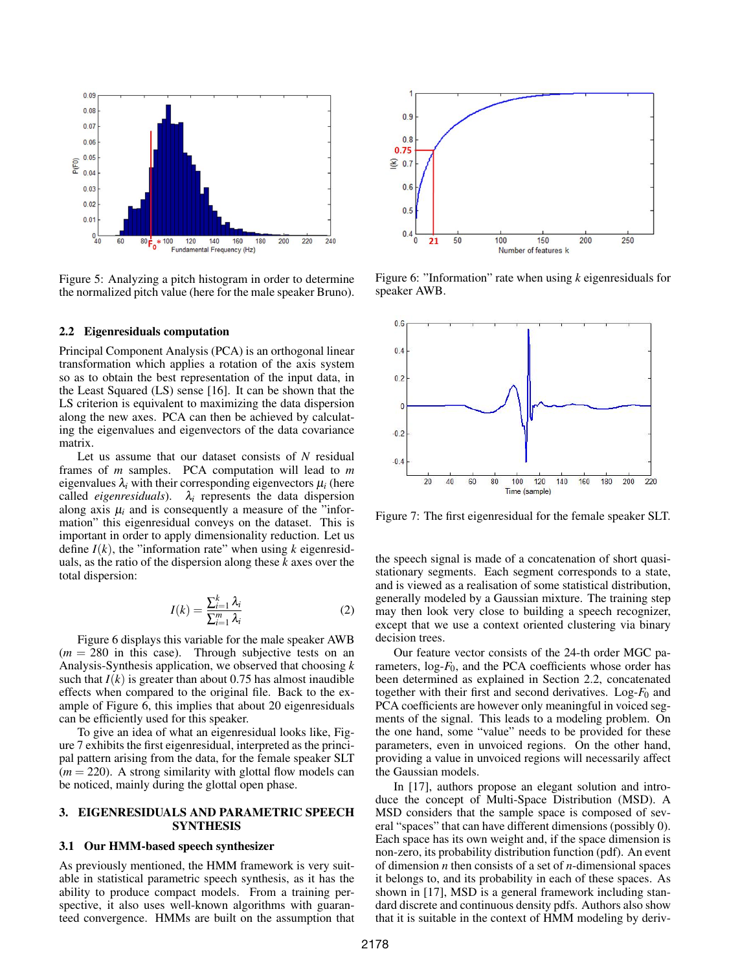

Figure 5: Analyzing a pitch histogram in order to determine the normalized pitch value (here for the male speaker Bruno).

#### 2.2 Eigenresiduals computation

Principal Component Analysis (PCA) is an orthogonal linear transformation which applies a rotation of the axis system so as to obtain the best representation of the input data, in the Least Squared (LS) sense [16]. It can be shown that the LS criterion is equivalent to maximizing the data dispersion along the new axes. PCA can then be achieved by calculating the eigenvalues and eigenvectors of the data covariance matrix.

Let us assume that our dataset consists of *N* residual frames of *m* samples. PCA computation will lead to *m* eigenvalues  $\lambda_i$  with their corresponding eigenvectors  $\mu_i$  (here called *eigenresiduals*).  $\lambda_i$  represents the data dispersion along axis  $\mu_i$  and is consequently a measure of the "information" this eigenresidual conveys on the dataset. This is important in order to apply dimensionality reduction. Let us define  $I(k)$ , the "information rate" when using  $k$  eigenresiduals, as the ratio of the dispersion along these *k* axes over the total dispersion:

$$
I(k) = \frac{\sum_{i=1}^{k} \lambda_i}{\sum_{i=1}^{m} \lambda_i}
$$
 (2)

Figure 6 displays this variable for the male speaker AWB  $(m = 280)$  in this case). Through subjective tests on an Analysis-Synthesis application, we observed that choosing *k* such that  $I(k)$  is greater than about 0.75 has almost inaudible effects when compared to the original file. Back to the example of Figure 6, this implies that about 20 eigenresiduals can be efficiently used for this speaker.

To give an idea of what an eigenresidual looks like, Figure 7 exhibits the first eigenresidual, interpreted as the principal pattern arising from the data, for the female speaker SLT  $(m = 220)$ . A strong similarity with glottal flow models can be noticed, mainly during the glottal open phase.

# 3. EIGENRESIDUALS AND PARAMETRIC SPEECH **SYNTHESIS**

### 3.1 Our HMM-based speech synthesizer

As previously mentioned, the HMM framework is very suitable in statistical parametric speech synthesis, as it has the ability to produce compact models. From a training perspective, it also uses well-known algorithms with guaranteed convergence. HMMs are built on the assumption that



Figure 6: "Information" rate when using *k* eigenresiduals for speaker AWB.



Figure 7: The first eigenresidual for the female speaker SLT.

the speech signal is made of a concatenation of short quasistationary segments. Each segment corresponds to a state, and is viewed as a realisation of some statistical distribution, generally modeled by a Gaussian mixture. The training step may then look very close to building a speech recognizer, except that we use a context oriented clustering via binary decision trees.

Our feature vector consists of the 24-th order MGC parameters, log-*F*0, and the PCA coefficients whose order has been determined as explained in Section 2.2, concatenated together with their first and second derivatives. Log- $F_0$  and PCA coefficients are however only meaningful in voiced segments of the signal. This leads to a modeling problem. On the one hand, some "value" needs to be provided for these parameters, even in unvoiced regions. On the other hand, providing a value in unvoiced regions will necessarily affect the Gaussian models.

In [17], authors propose an elegant solution and introduce the concept of Multi-Space Distribution (MSD). A MSD considers that the sample space is composed of several "spaces" that can have different dimensions (possibly 0). Each space has its own weight and, if the space dimension is non-zero, its probability distribution function (pdf). An event of dimension *n* then consists of a set of *n*-dimensional spaces it belongs to, and its probability in each of these spaces. As shown in [17], MSD is a general framework including standard discrete and continuous density pdfs. Authors also show that it is suitable in the context of HMM modeling by deriv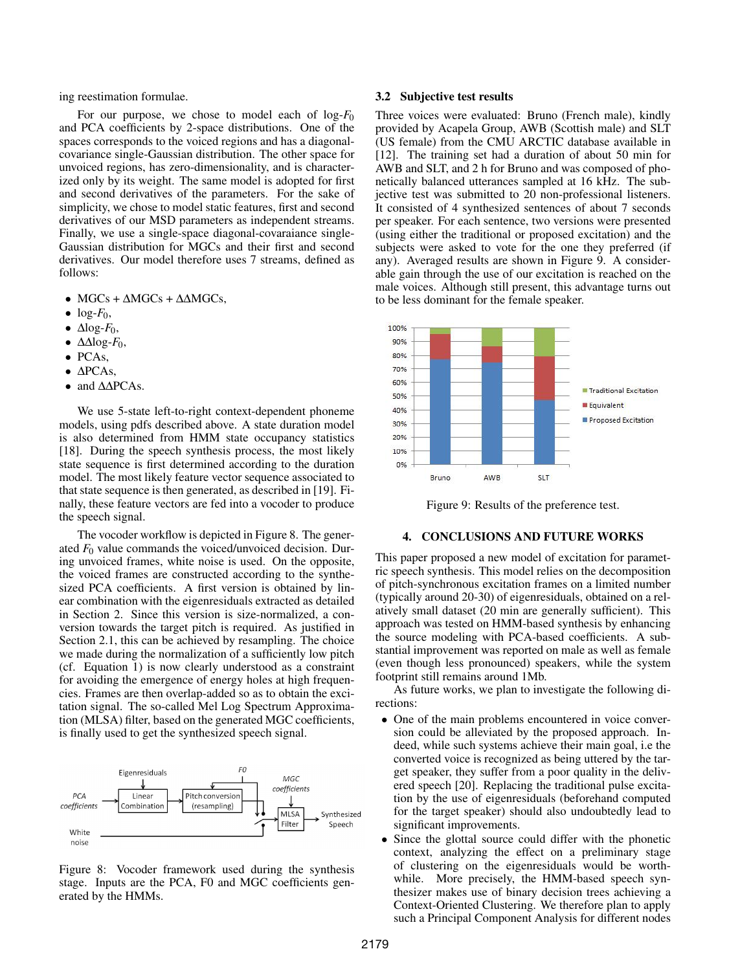ing reestimation formulae.

For our purpose, we chose to model each of log-*F*<sup>0</sup> and PCA coefficients by 2-space distributions. One of the spaces corresponds to the voiced regions and has a diagonalcovariance single-Gaussian distribution. The other space for unvoiced regions, has zero-dimensionality, and is characterized only by its weight. The same model is adopted for first and second derivatives of the parameters. For the sake of simplicity, we chose to model static features, first and second derivatives of our MSD parameters as independent streams. Finally, we use a single-space diagonal-covaraiance single-Gaussian distribution for MGCs and their first and second derivatives. Our model therefore uses 7 streams, defined as follows:

- MGCs +  $\triangle MGCs + \triangle MGCs$ ,
- $\bullet$  log- $F_0$ ,
- $\bullet$   $\Delta$ log-*F*<sub>0</sub>,
- $\bullet$   $\Delta \Delta \log$ -*F*<sub>0</sub>,
- PCAs,
- ∆PCAs,
- and  $Δ\Delta PCAs$ .

We use 5-state left-to-right context-dependent phoneme models, using pdfs described above. A state duration model is also determined from HMM state occupancy statistics [18]. During the speech synthesis process, the most likely state sequence is first determined according to the duration model. The most likely feature vector sequence associated to that state sequence is then generated, as described in [19]. Finally, these feature vectors are fed into a vocoder to produce the speech signal.

The vocoder workflow is depicted in Figure 8. The generated  $F_0$  value commands the voiced/unvoiced decision. During unvoiced frames, white noise is used. On the opposite, the voiced frames are constructed according to the synthesized PCA coefficients. A first version is obtained by linear combination with the eigenresiduals extracted as detailed in Section 2. Since this version is size-normalized, a conversion towards the target pitch is required. As justified in Section 2.1, this can be achieved by resampling. The choice we made during the normalization of a sufficiently low pitch (cf. Equation 1) is now clearly understood as a constraint for avoiding the emergence of energy holes at high frequencies. Frames are then overlap-added so as to obtain the excitation signal. The so-called Mel Log Spectrum Approximation (MLSA) filter, based on the generated MGC coefficients, is finally used to get the synthesized speech signal.



Figure 8: Vocoder framework used during the synthesis stage. Inputs are the PCA, F0 and MGC coefficients generated by the HMMs.

#### 3.2 Subjective test results

Three voices were evaluated: Bruno (French male), kindly provided by Acapela Group, AWB (Scottish male) and SLT (US female) from the CMU ARCTIC database available in [12]. The training set had a duration of about 50 min for AWB and SLT, and 2 h for Bruno and was composed of phonetically balanced utterances sampled at 16 kHz. The subjective test was submitted to 20 non-professional listeners. It consisted of 4 synthesized sentences of about 7 seconds per speaker. For each sentence, two versions were presented (using either the traditional or proposed excitation) and the subjects were asked to vote for the one they preferred (if any). Averaged results are shown in Figure 9. A considerable gain through the use of our excitation is reached on the male voices. Although still present, this advantage turns out to be less dominant for the female speaker.



Figure 9: Results of the preference test.

#### 4. CONCLUSIONS AND FUTURE WORKS

This paper proposed a new model of excitation for parametric speech synthesis. This model relies on the decomposition of pitch-synchronous excitation frames on a limited number (typically around 20-30) of eigenresiduals, obtained on a relatively small dataset (20 min are generally sufficient). This approach was tested on HMM-based synthesis by enhancing the source modeling with PCA-based coefficients. A substantial improvement was reported on male as well as female (even though less pronounced) speakers, while the system footprint still remains around 1Mb.

As future works, we plan to investigate the following directions:

- One of the main problems encountered in voice conversion could be alleviated by the proposed approach. Indeed, while such systems achieve their main goal, i.e the converted voice is recognized as being uttered by the target speaker, they suffer from a poor quality in the delivered speech [20]. Replacing the traditional pulse excitation by the use of eigenresiduals (beforehand computed for the target speaker) should also undoubtedly lead to significant improvements.
- Since the glottal source could differ with the phonetic context, analyzing the effect on a preliminary stage of clustering on the eigenresiduals would be worthwhile. More precisely, the HMM-based speech synthesizer makes use of binary decision trees achieving a Context-Oriented Clustering. We therefore plan to apply such a Principal Component Analysis for different nodes